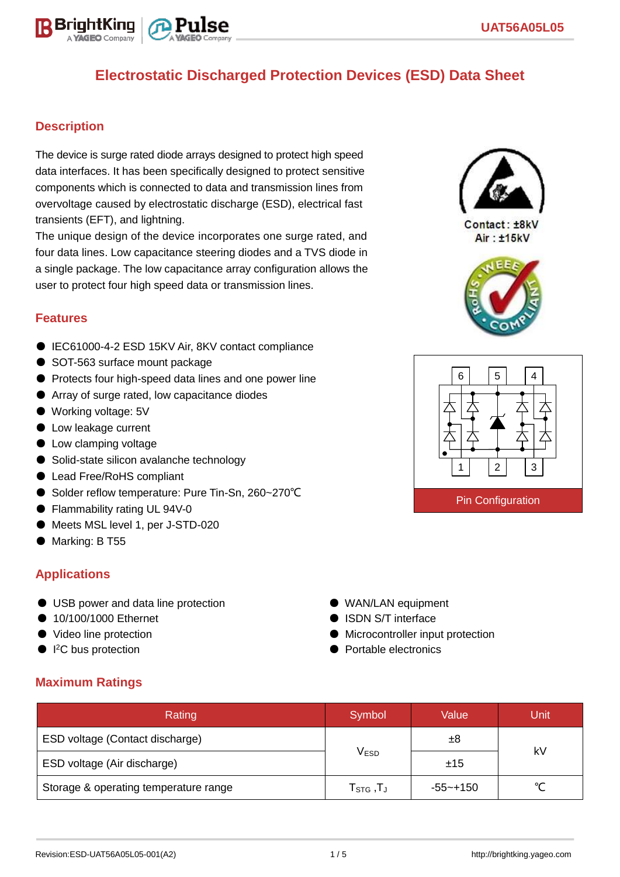

#### **Description**

The device is surge rated diode arrays designed to protect high speed data interfaces. It has been specifically designed to protect sensitive components which is connected to data and transmission lines from overvoltage caused by electrostatic discharge (ESD), electrical fast transients (EFT), and lightning.

The unique design of the device incorporates one surge rated, and four data lines. Low capacitance steering diodes and a TVS diode in a single package. The low capacitance array configuration allows the user to protect four high speed data or transmission lines.

#### **Features**

- IEC61000-4-2 ESD 15KV Air, 8KV contact compliance
- SOT-563 surface mount package
- Protects four high-speed data lines and one power line
- Array of surge rated, low capacitance diodes
- Working voltage: 5V
- Low leakage current
- Low clamping voltage
- Solid-state silicon avalanche technology
- Lead Free/RoHS compliant
- Solder reflow temperature: Pure Tin-Sn, 260~270°C
- Flammability rating UL 94V-0
- Meets MSL level 1, per J-STD-020
- Marking: B T55

#### **Applications**

- USB power and data line protection
- 10/100/1000 Ethernet
- Video line protection
- $\bullet$  I<sup>2</sup>C bus protection
- WAN/LAN equipment
- ISDN S/T interface
- Microcontroller input protection
- Portable electronics

### **Maximum Ratings**

| Rating                                | Symbol                            | Value       | Unit   |  |
|---------------------------------------|-----------------------------------|-------------|--------|--|
| ESD voltage (Contact discharge)       |                                   | ±8          | kV     |  |
| ESD voltage (Air discharge)           | <b>VESD</b>                       | ±15         |        |  |
| Storage & operating temperature range | $T_{\text{STG}}$ , $T_{\text{J}}$ | $-55$ ~+150 | $\sim$ |  |



 $Context·+RkV$ Air: ±15kV



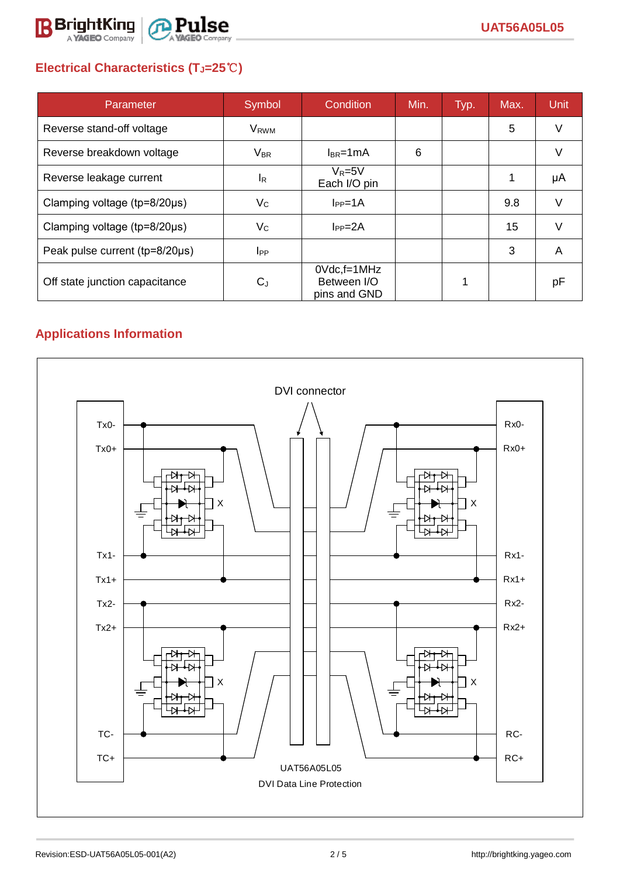

# **Electrical Characteristics (TJ=25**℃**)**

| Parameter                              | Symbol                    | Condition                                         | Min. | Typ. | Max. | <b>Unit</b> |
|----------------------------------------|---------------------------|---------------------------------------------------|------|------|------|-------------|
| Reverse stand-off voltage              | <b>V</b> <sub>RWM</sub>   |                                                   |      |      | 5    | V           |
| Reverse breakdown voltage              | $V_{BR}$                  | $I_{BR}$ =1mA                                     | 6    |      |      | V           |
| Reverse leakage current                | <sup>I</sup> R            | $V_R = 5V$<br>Each I/O pin                        |      |      |      | μA          |
| Clamping voltage ( $tp = 8/20 \mu s$ ) | $V_C$                     | $I_{PP}=1A$                                       |      |      | 9.8  | V           |
| Clamping voltage ( $tp=8/20\mu s$ )    | $\mathsf{V}_{\mathsf{C}}$ | $I_{PP} = 2A$                                     |      |      | 15   | $\vee$      |
| Peak pulse current (tp=8/20µs)         | <b>I</b> <sub>PP</sub>    |                                                   |      |      | 3    | A           |
| Off state junction capacitance         | $C_J$                     | $0Vdc$ , f=1 $MHz$<br>Between I/O<br>pins and GND |      | 1    |      | рF          |

## **Applications Information**

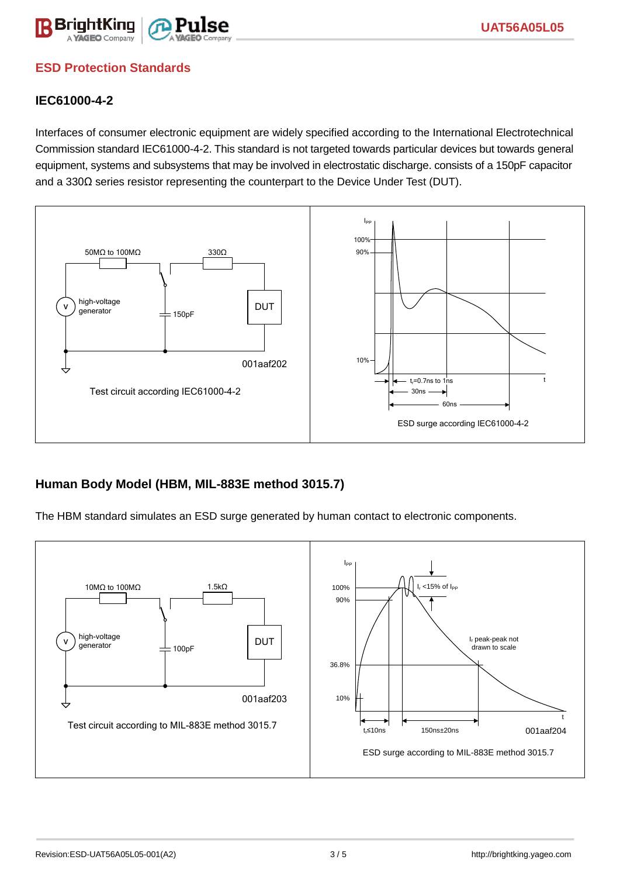

## **ESD Protection Standards**

#### **IEC61000-4-2**

Interfaces of consumer electronic equipment are widely specified according to the International Electrotechnical Commission standard IEC61000-4-2. This standard is not targeted towards particular devices but towards general equipment, systems and subsystems that may be involved in electrostatic discharge. consists of a 150pF capacitor and a 330Ω series resistor representing the counterpart to the Device Under Test (DUT).



### **Human Body Model (HBM, MIL-883E method 3015.7)**

The HBM standard simulates an ESD surge generated by human contact to electronic components.

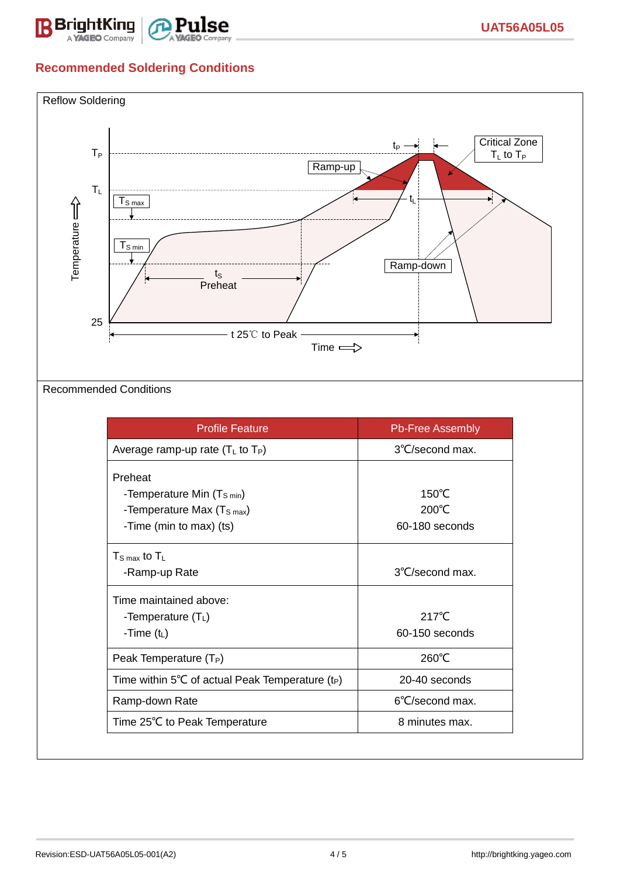

## **Recommended Soldering Conditions**